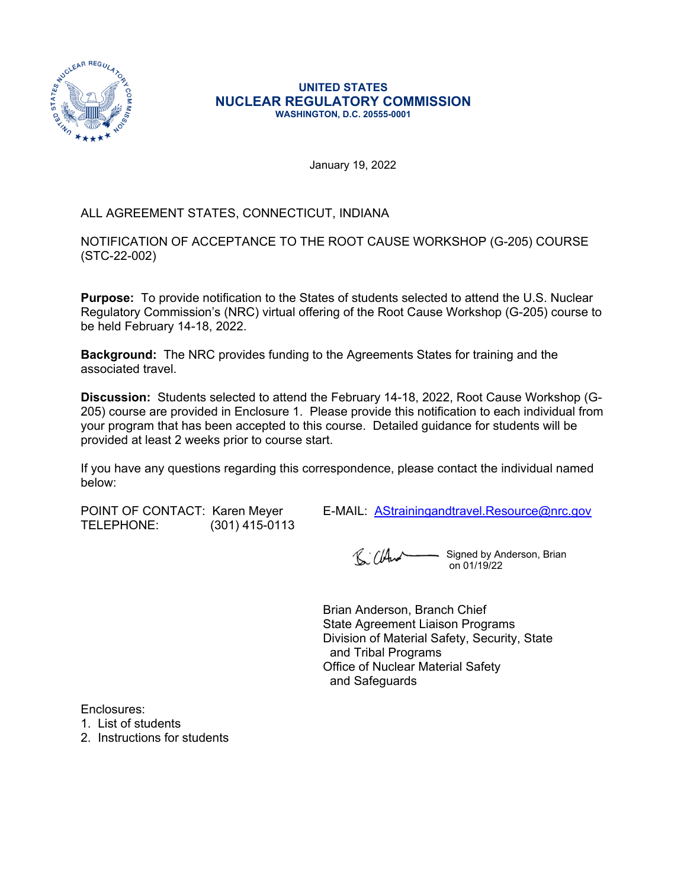

#### **UNITED STATES NUCLEAR REGULATORY COMMISSION WASHINGTON, D.C. 20555-0001**

January 19, 2022

# ALL AGREEMENT STATES, CONNECTICUT, INDIANA

NOTIFICATION OF ACCEPTANCE TO THE ROOT CAUSE WORKSHOP (G-205) COURSE (STC-22-002)

**Purpose:** To provide notification to the States of students selected to attend the U.S. Nuclear Regulatory Commission's (NRC) virtual offering of the Root Cause Workshop (G-205) course to be held February 14-18, 2022.

**Background:** The NRC provides funding to the Agreements States for training and the associated travel.

**Discussion:** Students selected to attend the February 14-18, 2022, Root Cause Workshop (G-205) course are provided in Enclosure 1. Please provide this notification to each individual from your program that has been accepted to this course. Detailed guidance for students will be provided at least 2 weeks prior to course start.

If you have any questions regarding this correspondence, please contact the individual named below:

TELEPHONE: (301) 415-0113

POINT OF CONTACT: Karen Meyer E-MAIL: [AStrainingandtravel.Resource@nrc.gov](mailto:AStrainingandtravel.Resource@nrc.gov)

R. CHurt Signed by Anderson, Brian on 01/19/22

Brian Anderson, Branch Chief State Agreement Liaison Programs Division of Material Safety, Security, State and Tribal Programs Office of Nuclear Material Safety and Safeguards

Enclosures:

1. List of students

2. Instructions for students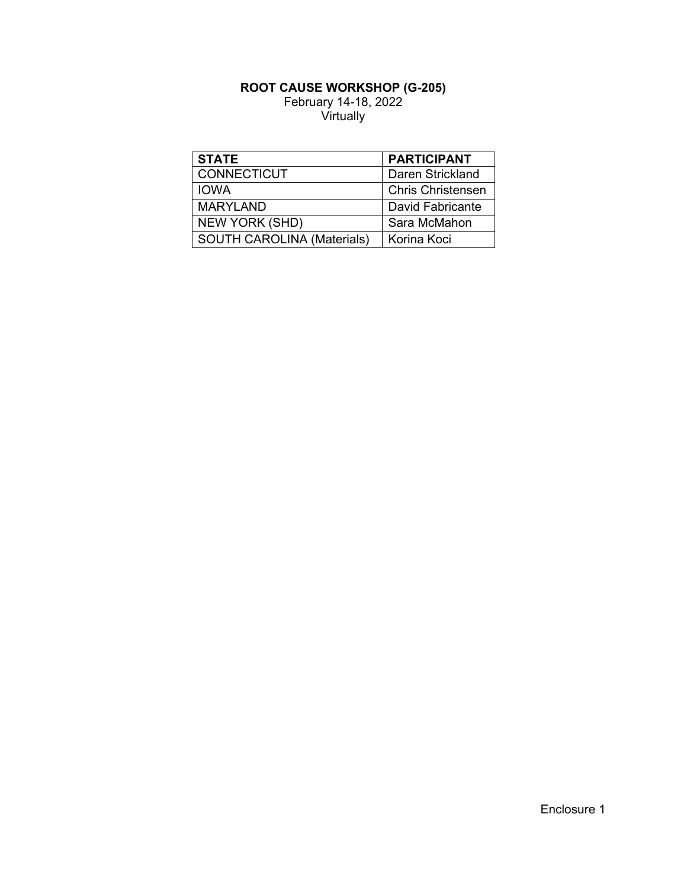### **ROOT CAUSE WORKSHOP (G-205)** February 14-18, 2022 Virtually

| <b>STATE</b>                      | <b>PARTICIPANT</b>       |
|-----------------------------------|--------------------------|
| <b>CONNECTICUT</b>                | Daren Strickland         |
| <b>IOWA</b>                       | <b>Chris Christensen</b> |
| <b>MARYLAND</b>                   | David Fabricante         |
| <b>NEW YORK (SHD)</b>             | Sara McMahon             |
| <b>SOUTH CAROLINA (Materials)</b> | Korina Koci              |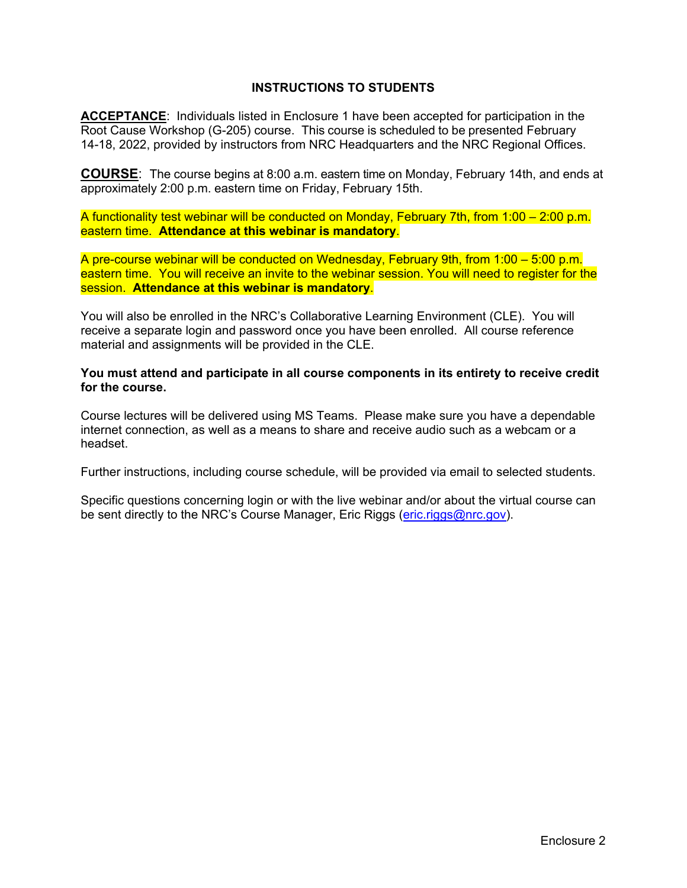### **INSTRUCTIONS TO STUDENTS**

**ACCEPTANCE**: Individuals listed in Enclosure 1 have been accepted for participation in the Root Cause Workshop (G-205) course. This course is scheduled to be presented February 14-18, 2022, provided by instructors from NRC Headquarters and the NRC Regional Offices.

**COURSE**: The course begins at 8:00 a.m. eastern time on Monday, February 14th, and ends at approximately 2:00 p.m. eastern time on Friday, February 15th.

A functionality test webinar will be conducted on Monday, February 7th, from 1:00 – 2:00 p.m. eastern time. **Attendance at this webinar is mandatory**.

A pre-course webinar will be conducted on Wednesday, February 9th, from 1:00 – 5:00 p.m. eastern time. You will receive an invite to the webinar session. You will need to register for the session. **Attendance at this webinar is mandatory**.

You will also be enrolled in the NRC's Collaborative Learning Environment (CLE). You will receive a separate login and password once you have been enrolled. All course reference material and assignments will be provided in the CLE.

**You must attend and participate in all course components in its entirety to receive credit for the course.**

Course lectures will be delivered using MS Teams. Please make sure you have a dependable internet connection, as well as a means to share and receive audio such as a webcam or a headset.

Further instructions, including course schedule, will be provided via email to selected students.

Specific questions concerning login or with the live webinar and/or about the virtual course can be sent directly to the NRC's Course Manager, Eric Riggs [\(eric.riggs@nrc.gov](mailto:eric.riggs@nrc.gov)).